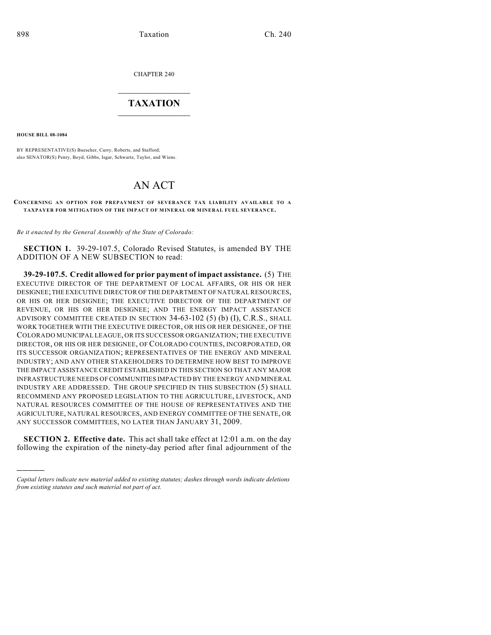CHAPTER 240

## $\overline{\phantom{a}}$  . The set of the set of the set of the set of the set of the set of the set of the set of the set of the set of the set of the set of the set of the set of the set of the set of the set of the set of the set o **TAXATION**  $\_$

**HOUSE BILL 08-1084**

)))))

BY REPRESENTATIVE(S) Buescher, Curry, Roberts, and Stafford; also SENATOR(S) Penry, Boyd, Gibbs, Isgar, Schwartz, Taylor, and Wiens.

## AN ACT

## **CONCERNING AN OPTION FOR PREPAYMENT OF SEVERANCE TAX LIABILITY AVAILABLE TO A TAXPAYER FOR MITIGATION OF THE IMPACT OF MINERAL OR MINERAL FUEL SEVERANCE.**

*Be it enacted by the General Assembly of the State of Colorado:*

**SECTION 1.** 39-29-107.5, Colorado Revised Statutes, is amended BY THE ADDITION OF A NEW SUBSECTION to read:

**39-29-107.5. Credit allowed for prior payment of impact assistance.** (5) THE EXECUTIVE DIRECTOR OF THE DEPARTMENT OF LOCAL AFFAIRS, OR HIS OR HER DESIGNEE; THE EXECUTIVE DIRECTOR OF THE DEPARTMENT OF NATURAL RESOURCES, OR HIS OR HER DESIGNEE; THE EXECUTIVE DIRECTOR OF THE DEPARTMENT OF REVENUE, OR HIS OR HER DESIGNEE; AND THE ENERGY IMPACT ASSISTANCE ADVISORY COMMITTEE CREATED IN SECTION 34-63-102 (5) (b) (I), C.R.S., SHALL WORK TOGETHER WITH THE EXECUTIVE DIRECTOR, OR HIS OR HER DESIGNEE, OF THE COLORADO MUNICIPAL LEAGUE, OR ITS SUCCESSOR ORGANIZATION; THE EXECUTIVE DIRECTOR, OR HIS OR HER DESIGNEE, OF COLORADO COUNTIES, INCORPORATED, OR ITS SUCCESSOR ORGANIZATION; REPRESENTATIVES OF THE ENERGY AND MINERAL INDUSTRY; AND ANY OTHER STAKEHOLDERS TO DETERMINE HOW BEST TO IMPROVE THE IMPACT ASSISTANCE CREDIT ESTABLISHED IN THIS SECTION SO THAT ANY MAJOR INFRASTRUCTURE NEEDS OF COMMUNITIES IMPACTED BY THE ENERGY AND MINERAL INDUSTRY ARE ADDRESSED. THE GROUP SPECIFIED IN THIS SUBSECTION (5) SHALL RECOMMEND ANY PROPOSED LEGISLATION TO THE AGRICULTURE, LIVESTOCK, AND NATURAL RESOURCES COMMITTEE OF THE HOUSE OF REPRESENTATIVES AND THE AGRICULTURE, NATURAL RESOURCES, AND ENERGY COMMITTEE OF THE SENATE, OR ANY SUCCESSOR COMMITTEES, NO LATER THAN JANUARY 31, 2009.

**SECTION 2. Effective date.** This act shall take effect at 12:01 a.m. on the day following the expiration of the ninety-day period after final adjournment of the

*Capital letters indicate new material added to existing statutes; dashes through words indicate deletions from existing statutes and such material not part of act.*